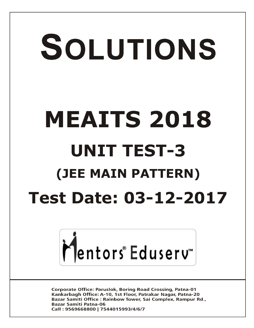# SOLUTIONS **MEAITS 2018 UNIT TEST-3 (JEE MAIN PATTERN) Test Date: 03-12-2017**



**Corporate Office: Paruslok, Boring Road Crossing, Patna-01** Kankarbagh Office: A-10, 1st Floor, Patrakar Nagar, Patna-20 Bazar Samiti Office: Rainbow Tower, Sai Complex, Rampur Rd., **Bazar Samiti Patna-06** Call: 9569668800 | 7544015993/4/6/7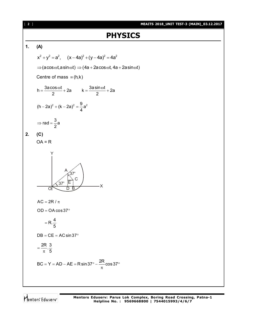#### [ **2** ] **MEAITS 2018\_UNIT TEST-3 (MAIN)\_03.12.2017**

# **PHYSICS**

## **1. (A)**

$$
x^{2} + y^{2} = a^{2}, \quad (x - 4a)^{2} + (y - 4a)^{2} = 4a^{2}
$$
  
\n
$$
\Rightarrow (a \cos \omega t, a \sin \omega t) \Rightarrow (4a + 2a \cos \omega t, 4a + 2a \sin \omega t)
$$
  
\nCentre of mass = (h,k)  
\n
$$
h = \frac{3a \cos \omega t}{2} + 2a \qquad k = \frac{3a \sin \omega t}{2} + 2a
$$

$$
(h-2a)^2 + (k-2a)^2 = \frac{9}{4}a^2
$$

$$
\Rightarrow \text{rad} = \frac{3}{2}a
$$

$$
2. (C)
$$

 $OA = R$ 



Mentors<sup>®</sup> Eduserv<sup>®</sup>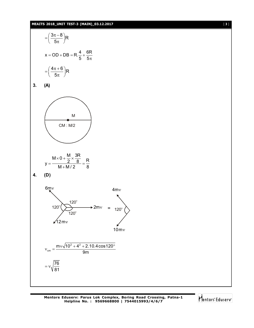#### **MEAITS 2018\_UNIT TEST-3 (MAIN)\_03.12.2017** [ **3** ]



**3. (A)**





76 81

 $= v_{1}$ 





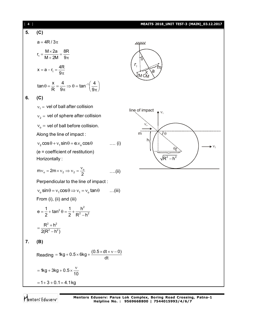## [ **4** ] **MEAITS 2018\_UNIT TEST-3 (MAIN)\_03.12.2017 5. (C)**  $a = 4R / 3\pi$  $M \times 2a$  8R

$$
r_1 = \frac{4R}{M + 2M} = \frac{8R}{9\pi}
$$
  

$$
x = a - r_1 = \frac{4R}{9\pi}
$$

 $9\pi$ 

$$
\tan \theta = \frac{x}{R} = \frac{4}{9\pi} \Rightarrow \theta = \tan^{-1} \left( \frac{4}{9\pi} \right)
$$

**6. (C)**

 $v_1$  = vel of ball after collision  ${\rm v}_{_{2}}$  = vel of sphere after collision  $v_{\rm o}$  = vel of ball before collision. Along the line of impact :  $v_2 \cos \theta + v_1 \sin \theta = e v_0 \cos \theta$  .... (i) (e = coefficient of restitution) Horizontally :  $mv_0 = 2m \times v_2 \Rightarrow v_2 = \frac{v_0}{2}$  ....(ii) Perpendicular to the line of impact :  $v_0$  sin  $\theta = v_1 \cos \theta \Rightarrow v_1 = v_0 \tan \theta$  ...(iii)

From (i), (ii) and (iii)

$$
e = \frac{1}{2} + \tan^2 \theta = \frac{1}{2} + \frac{h^2}{R^2 - h^2}
$$

$$
= \frac{R^2 + h^2}{2(R^2 - h^2)}
$$

$$
7. (B)
$$

Reading = 1kg + 0.5 × 6kg + 
$$
\frac{(0.5 × dt × v - 0)}{dt}
$$
  
= 1kg + 3kg + 0.5 ×  $\frac{v}{10}$   
= 1 + 3 + 0.1 = 4.1 kg

Mentors Eduserv

<u>IIIIII</u> θ  $r_{\scriptscriptstyle\star}$ m a X M CN line of impact  $\blacktriangle$   $V_1$  $v_{o}$  $\frac{1}{m}$  $\mathbb{U}_\theta$  $h<sub>1</sub>$  $V_2$  $\theta$  $/$ R $^2$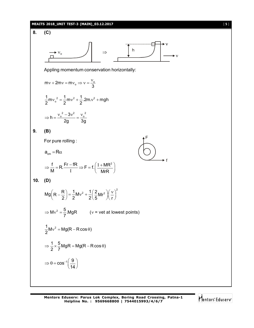#### **MEAITS 2018\_UNIT TEST-3 (MAIN)\_03.12.2017** [ **5** ]

8. (C)  
\nAppling momentum conservation horizontally:  
\n
$$
mv + 2mv = mv_o \Rightarrow v = \frac{v_o}{3}
$$
\n
$$
\frac{1}{2}mv_o^2 = \frac{1}{2}mv^2 + \frac{1}{2}.2mv^2 + mgh
$$
\n
$$
\Rightarrow h = \frac{v_o^2 - 3v^2}{2g} = \frac{v_o^2}{3g}
$$
\n9. (B)  
\nFor pure rolling :  
\n
$$
a_{cm} = R\alpha
$$
\n
$$
\Rightarrow \frac{f}{M} = R.\frac{F_f - fR}{I} \Rightarrow F = f.(\frac{1 + MR^2}{MrR})
$$
\n10. (D)  
\n
$$
Mg \left(R - \frac{R}{2}\right) = \frac{1}{2}Mv^2 + \frac{1}{2}(\frac{2}{5}Mr^2) \left(\frac{v}{r}\right)^2
$$
\n
$$
\Rightarrow Mv^2 = \frac{5}{7}MgR \qquad (v = vet \text{ at lowest points})
$$
\n
$$
\frac{1}{2}Mv^2 = Mg(R - R\cos\theta)
$$
\n
$$
\Rightarrow \frac{1}{2} \times \frac{5}{7}MgR = Mg(R - R\cos\theta)
$$
\n
$$
\Rightarrow \theta = \cos^{-1}(\frac{9}{14})
$$

Mentors<sup>e</sup> Eduserv<sup>-</sup>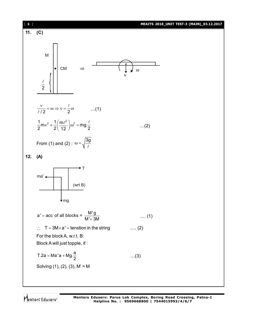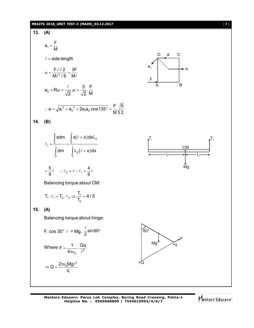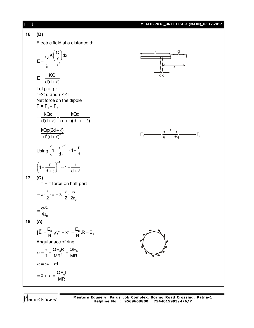

Mentors<sup>®</sup> Eduserv<sup>®</sup>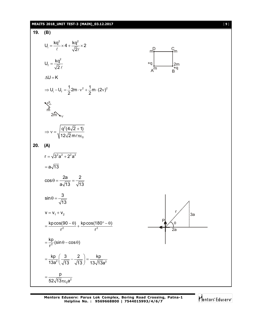

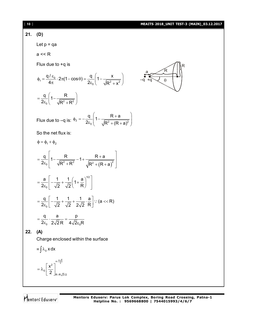#### **21. (D)**

Let  $p = qa$ 

a << R

Flux due to +q is

$$
\phi_1 = \frac{q/\varepsilon_0}{4\pi} \cdot 2\pi (1 - \cos \theta) = \frac{q}{2\varepsilon_0} \left(1 - \frac{x}{\sqrt{R^2 + x^2}}\right)
$$

$$
= \frac{q}{2\pi} \left(1 - \frac{R}{\sqrt{R^2 - x^2}}\right)
$$

Flux due to –q is:  $\Phi_2 = -\frac{1}{2\varepsilon_0} \left(1 - \frac{1}{\sqrt{R^2 + (R+a)^2}}\right)$ 

 $\frac{q}{q}$  1 -  $\frac{R+a}{q}$  $2\varepsilon_0$   $\sqrt{R^2 + (R + a)}$  $\phi_2 = -\frac{q}{2} \left( 1 - \frac{R+a}{\sqrt{2}} \right)$ 

 $\varepsilon_0$   $\left(\sqrt{R^2 + (R+a)^2}\right)$ 



So the net flux is:

 $_0 \left( \sqrt{R^2 + R^2} \right)$ 

 $\varepsilon_0$   $\left(\sqrt{R^2+R^2}\right)$ 

 $2\varepsilon_0$   $\sqrt{R^2 + R}$ 

$$
\Phi = \phi_1 + \phi_2
$$
\n
$$
= \frac{q}{2\epsilon_0} \left[ 1 - \frac{R}{\sqrt{R^2 + R^2}} - 1 + \frac{R + a}{\sqrt{R^2 + (R + a)^2}} \right]
$$
\n
$$
= \frac{a}{2\epsilon_0} \left[ -\frac{1}{\sqrt{2}} + \frac{1}{\sqrt{2}} \left( 1 + \frac{a}{R} \right)^{1/2} \right]
$$
\n
$$
= \frac{q}{2\epsilon_0} \left[ -\frac{1}{\sqrt{2}} + \frac{1}{\sqrt{2}} + \frac{1}{2\sqrt{2}} \cdot \frac{a}{R} \right] \cdot (a \ll R)
$$
\n
$$
= \frac{q}{2\epsilon_0} \cdot \frac{a}{2\sqrt{2}R} = \frac{p}{4\sqrt{2}\epsilon_0 R}
$$

**22. (A)**

Charge enclosed within the surface

$$
= \int \lambda_0 \, x \, dx
$$

$$
= \lambda_0 \Bigg[\frac{x^2}{2}\Bigg]_{R-R\sqrt{3}/2}^{R+\frac{R\sqrt{3}}{2}}
$$

Mentors<sup>®</sup> Eduserv<sup>®</sup>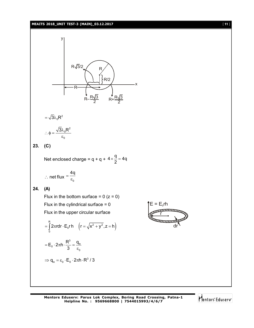#### **MEAITS 2018\_UNIT TEST-3 (MAIN)\_03.12.2017** [ **11** ]



**Mentors Eduserv: Parus Lok Complex, Boring Road Crossing, Patna-1 Helpline No. : 9569668800 | 7544015993/4/6/7**

r

dr

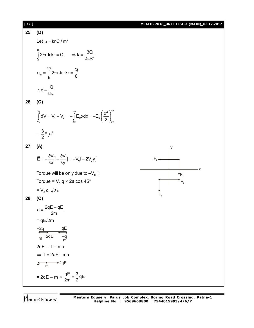| $[ 12 ]$ |                                                                                                                       | MEAITS 2018_UNIT TEST-3 (MAIN)_03.12.2017 |
|----------|-----------------------------------------------------------------------------------------------------------------------|-------------------------------------------|
| 25.      | (D)                                                                                                                   |                                           |
|          | Let $\sigma$ = kr C / m <sup>2</sup>                                                                                  |                                           |
|          | $\int_{2}^{R} 2\pi r dr$ kr = Q $\Rightarrow$ k = $\frac{3Q}{2\pi R^3}$                                               |                                           |
|          | $q_{in} = \int_{0}^{R/2} 2\pi r dr \cdot kr = \frac{Q}{8}$                                                            |                                           |
|          | $\therefore \phi = \frac{Q}{8\varepsilon_0}$                                                                          |                                           |
| 26.      | (C)                                                                                                                   |                                           |
|          | $\int_{V_2}^{V_1} dV = V_1 - V_2 = -\int_{2a}^{a} E_0 x dx = -E_0 \left(\frac{x^2}{2}\right)_{2a}^{a}$                |                                           |
|          | = $\frac{3}{2}E_0a^2$                                                                                                 |                                           |
| 27.      | (A)                                                                                                                   |                                           |
|          | $\vec{E} = -\frac{\partial V}{\partial x}\hat{i} - \frac{\partial V}{\partial y}\hat{j} = -V_0\hat{i} - 2V_0y\hat{j}$ | $F_2 \leftarrow$                          |
|          | Torque will be only due to $-V_0$ i.                                                                                  | ۰X<br>$\Psi_{\mathsf{F}_1}$               |
|          | Torque = $V_0$ q × 2a cos 45°                                                                                         | $F_{2}$                                   |
|          | $= V_0 q \sqrt{2} a$                                                                                                  |                                           |
| 28.      | (C)                                                                                                                   |                                           |
|          | $a = \frac{2qE - qE}{2m}$                                                                                             |                                           |
|          | $= qE/2m$                                                                                                             |                                           |
|          |                                                                                                                       |                                           |
|          | $+2q$ qE<br>$q = 2qE$ defined                                                                                         |                                           |
|          | $2qE - T = ma$                                                                                                        |                                           |
|          | $\Rightarrow$ T = 2qE - ma                                                                                            |                                           |
|          | $T \nightharpoonup 2qE$                                                                                               |                                           |
|          | = 2qE – m × $\frac{qE}{2m}$ = $\frac{3}{2}$ qE                                                                        |                                           |

Mentors<sup>®</sup> Eduserv<sup>®</sup>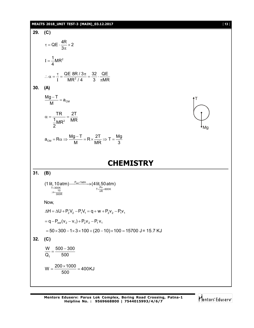#### **MEAITS 2018\_UNIT TEST-3 (MAIN)\_03.12.2017** [ **13** ]

29. (C)  
\n
$$
\tau = QE \cdot \frac{4R}{3\pi} \times 2
$$
\n
$$
I = \frac{1}{4}MR^{2}
$$
\n
$$
\therefore \alpha = \frac{\tau}{I} = \frac{QE}{MR^{2}/4} = \frac{32}{3} \cdot \frac{QE}{\pi MR}
$$
\n30. (A)  
\n
$$
\frac{Mg-T}{M} = a_{CM}
$$
\n
$$
\alpha = \frac{TR}{\frac{1}{2}MR^{2}} = \frac{2T}{MR}
$$
\n
$$
a_{CM} = R\alpha \Rightarrow \frac{Mg-T}{M} = R \times \frac{2T}{MR} \Rightarrow T = \frac{Mg}{3}
$$
\n**CHEMISTRY**  
\n31. (B)  
\n
$$
(1 \text{ lit}, 10 \text{ atm}) \xrightarrow{T=00R} \xrightarrow{T=00R} (4 \text{ lit}, 50 \text{ atm})
$$
\n
$$
\xrightarrow{T=300R} \xrightarrow{T=00R} (1 \text{ dif}, 50 \text{ atm})
$$
\nNow,  
\n
$$
\Delta H = \Delta U + P_{2}V_{2} - P_{1}V_{1} = q + w + P_{2}V_{2} - P_{1}V_{1}
$$
\n
$$
= q - P_{ext}(v_{2} - v_{1}) + P_{2}V_{2} - P_{1}V_{1}
$$
\n
$$
= 50 \times 300 - 1 \times 3 \times 100 + (20 - 10) \times 100 = 15700 \text{ J} = 15.7 \text{ KJ}
$$
\n32. (C)  
\n
$$
\frac{W}{Q_{1}} = \frac{500 - 300}{500}
$$
\n
$$
W = \frac{200 \times 1000}{500} = 400 \text{ KJ}
$$

Mentors<sup>e</sup> Eduserv<sup>-</sup>

Mg

T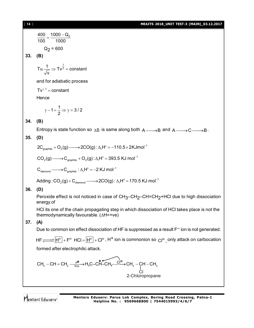#### [ **14** ] **MEAITS 2018\_UNIT TEST-3 (MAIN)\_03.12.2017**

$$
\frac{400}{100} = \frac{1000 - Q_2}{1000}
$$

$$
Q_2 = 600
$$

**33. (B)**

$$
T\alpha \frac{1}{\sqrt{v}} \Rightarrow Tv^{\frac{1}{2}} = constant
$$

and for adiabatic process

 $Tv^{\gamma-1} = constant$ 

**Hence** 

$$
\gamma-1=\frac{1}{2}\Longrightarrow \gamma=3/2
$$

#### **34. (B)**

Entropy is state function so  $\Delta S$  is same along both  $A \longrightarrow B$  and  $A \longrightarrow C \longrightarrow B$ .

#### **35. (D)**

 $2\mathsf{C}_{\mathsf{graphite}} + \mathsf{O}_2(\mathsf{g}){\longrightarrow} 2\mathsf{CO}(\mathsf{g})$  :  $\Delta_\mathsf{r} \mathsf{H}^\circ\!=\!-110.5{\times}2\mathsf{K}\mathsf{J} \mathsf{mol}^{-1}$ 

 $\mathsf{CO}_2(\mathsf{g})\!\!\longrightarrow\!\!\mathsf{C}_{\mathsf{graphite}} + \mathsf{O}_2(\mathsf{g})\!:\!\Delta_\mathsf{r}\mathsf{H}^\circ\!=\!393.5\,\mathsf{K}\mathsf{J} \mathsf{\,mol}^{-1}$ 

 $C_{\text{diamond}} \longrightarrow C_{\text{graphite}} : \Delta_r H^\circ = -2 \text{ KJ mol}^{-1}$ 

Adding : CO $_2$ (g) + C $_{\sf diamond}$  ——>2CO(g) :  $\Lambda$ ,H $^{\circ}$  = 170.5 KJ mol $^{-1}$ 

#### **36. (D)**

Peroxide effect is not noticed in case of CH<sub>3</sub>–CH<sub>2</sub>–CH=CH<sub>2</sub>+HCl due to high dissociation energy of

HCl its one of the chain propagating step in which dissociation of HCl takes place is not the thermodynamically favourable.  $(\Delta H=+ve)$ 

#### **37. (A)**

Due to common ion effect dissociation of HF is suppressed as a result  $F^-$  ion is not generated.

 $HF \overline{\longrightarrow} \overline{H^\oplus} + F^\ominus$  HCl =  $\overline{H^\oplus} + C l^\ominus$  , H $^+$  ion is commonion so  $C l^\ominus$  , only attack on carbocation formed after electrophilic attack.

$$
CH_3-CH=CH_2 \xrightarrow{\text{H}_0\text{RdS}} H_3C-CH-CH_3 \xrightarrow{\text{C}} CH_3-CH_3-CH-CH_3
$$
\n
$$
CH_3 \xrightarrow{\text{C}} CH_3-CH_3-CH_3
$$
\n
$$
CH_3 \xrightarrow{\text{C}} CH_3-CH_3-CH_3
$$
\n
$$
CH_3 \xrightarrow{\text{C}} CH_3-CH_3-CH_3
$$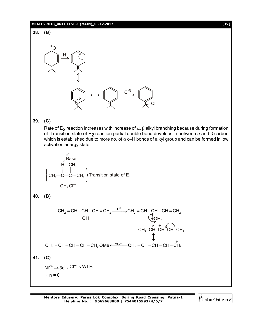#### **MEAITS 2018\_UNIT TEST-3 (MAIN)\_03.12.2017** [ **15** ]



**39. (C)**

Rate of E<sub>2</sub> reaction increases with increase of  $\alpha$ ,  $\beta$  alkyl branching because during formation of Transition state of E<sub>2</sub> reaction partial double bond develops in between  $\alpha$  and  $\beta$  carbon which is established due to more no. of  $\alpha$  c–H bonds of alkyl group and can be formed in low activation energy state.

$$
\begin{array}{c}\n \stackrel{s}{\stackrel{\text{Base}}{\text{Base}} \\
 \text{H} \quad \text{CH}_3 \\
 \text{CH}_3 \quad \stackrel{\text{i}}{\underset{\text{CH}_3}{\text{--}}} \text{CH}_3\n \end{array}\n \Big\} \text{ Transition state of } E_2
$$

**40. (B)**

$$
CH_2 = CH - CH - CH = CH_2 \xrightarrow{H^{\oplus}} CH_2 = CH - CH - CH = CH_2
$$
\n
$$
CH_2 \xrightarrow{H^{\oplus}} CH_2
$$
\n
$$
CH_2 = CH - CH - CH = CH_2
$$
\n
$$
CH_2 = CH - CH - CH = CH_2
$$
\n
$$
CH_2 = CH - CH - CH = CH_2
$$

$$
\text{CH}_2=\text{CH}-\text{CH}=\text{CH}-\text{CH}_2\,\text{OMe} \xleftarrow{\text{MeOH}} \text{CH}_2=\text{CH}-\text{CH}=\text{CH}-\overset{\circ}{\text{CH}}_2
$$

**41. (C)**

 $Ni<sup>2+</sup> \rightarrow 3d<sup>8</sup>$ ; CI<sup>-</sup> is WLF.  $\therefore$  n = 0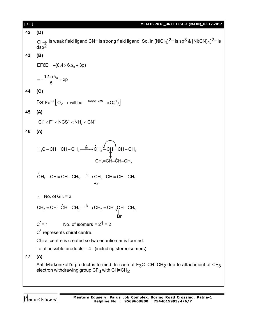| [16] | MEAITS 2018_UNIT TEST-3 (MAIN)_03.12.2017                                                                                                                                                       |  |
|------|-------------------------------------------------------------------------------------------------------------------------------------------------------------------------------------------------|--|
| 42.  | (D)                                                                                                                                                                                             |  |
|      | Cl $\rightarrow$ is weak field ligand CN <sup>-</sup> is strong field ligand. So, in [NiCl <sub>4</sub> ] <sup>2-</sup> is sp <sup>3</sup> & [Ni(CN) <sub>4</sub> ] <sup>2-</sup> is<br>$dsp^2$ |  |
| 43.  | (B)<br>$EFGE = -(0.4 \times 6 \Delta_0 + 3p)$<br>$=-\frac{12.5\Delta_0}{5}+3p$                                                                                                                  |  |
|      |                                                                                                                                                                                                 |  |
|      |                                                                                                                                                                                                 |  |
| 44.  | (C)                                                                                                                                                                                             |  |
|      | For $\text{Fe}^{2+}\left[O_2 \rightarrow \text{will be } \xrightarrow{\text{super oxo}} (O_2^{-1})\right]$                                                                                      |  |
| 45.  | (A)<br>$CI^- < F^- < NCS^- < NH_3 < CN^-$                                                                                                                                                       |  |
|      |                                                                                                                                                                                                 |  |
| 46.  | (A)<br>$H_3C - CH = CH - CH_3 \xrightarrow{Br} \dot{C}H_2 \xleftarrow{f} CH = CH - CH_3$<br>CH,=CH-CH-CH,                                                                                       |  |
|      |                                                                                                                                                                                                 |  |
|      |                                                                                                                                                                                                 |  |
|      | $\dot{C}H_2 - CH = CH - CH_3 \xrightarrow{\dot{Br}} CH_2 - CH = CH - CH_3$<br>Br                                                                                                                |  |
|      | $\therefore$ No. of G.I. = 2                                                                                                                                                                    |  |
|      | $CH_2 = CH - \dot{C}H - CH_3 \xrightarrow{Br} CH_2 = CH - \downarrow CH - CH_3$                                                                                                                 |  |
|      | Br<br>$C^* = 1$<br>No. of isomers = $2^1$ = 2                                                                                                                                                   |  |
|      | C <sup>*</sup> represents chiral centre.                                                                                                                                                        |  |
|      | Chiral centre is created so two enantiomer is formed.                                                                                                                                           |  |
|      | Total possible products = $4$ (including stereoisomers)                                                                                                                                         |  |
| 47.  | (A)                                                                                                                                                                                             |  |
|      | Anti-Markonikoff's product is formed. In case of $F_3C$ –CH=CH <sub>2</sub> due to attachment of CF <sub>3</sub><br>electron withdrawing group CF <sub>3</sub> with CH=CH <sub>2</sub>          |  |
|      |                                                                                                                                                                                                 |  |

Mentors<sup>®</sup> Eduserv<sup>®</sup>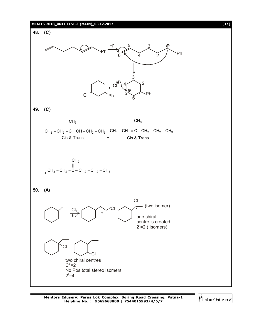#### **MEAITS 2018\_UNIT TEST-3 (MAIN)\_03.12.2017** [ **17** ]



Mentors<sup>e</sup> Eduserv<sup>®</sup>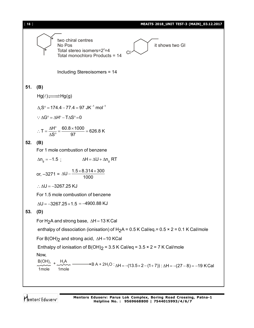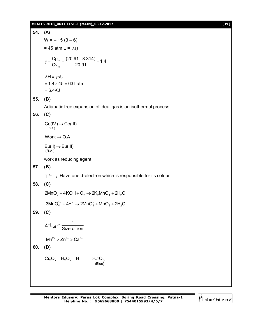#### **MEAITS 2018\_UNIT TEST-3 (MAIN)\_03.12.2017** [ **19** ]

**54.** (**A**)  
\nW = -15 (3-6)  
\n= 45 atm L = ΔU  
\n
$$
\gamma = \frac{Cp_m}{Cv_m} = \frac{(20.91+8.314)}{20.91} = 1.4
$$
  
\n $\Delta H = \gamma \Delta U$   
\n= 1.4 × 45 = 63L atm  
\n= 6.4KJ  
\n**55.** (**B**)  
\nAdiabatic free expansion of ideal gas is an isothermal process.  
\n**56.** (**C**)  
\n $Ce((V)) \rightarrow Ce((III))$   
\nWork → O.A  
\n $Eu(I|) \rightarrow EU(III)$   
\nwork as reducing agent  
\n**57.** (**B**)  
\nTi<sup>3+</sup> → Have one d-electron which is responsible for its colour.  
\n**58.** (**C**)  
\n2MnO<sub>2</sub> + 4KOH + O<sub>2</sub> → 2K<sub>2</sub>MnO<sub>4</sub> + 2H<sub>2</sub>O  
\n3MnO<sup>2</sup><sub>4</sub> + 4H<sup>+</sup> → 2MnO<sub>4</sub> + MnO<sub>2</sub> + 2H<sub>2</sub>O  
\n**59.** (**C**)  
\n $\Delta H_{hyd} \propto \frac{1}{Size of ion}$   
\n $Mr^2 > Zn^2$  > Ca<sup>2+</sup>  
\n**60.** (**D**)  
\n $CF_2O_7 + H_2O_2 + H^+ \longrightarrow CrO_5$   
\n(SIue)

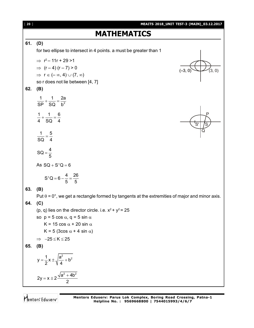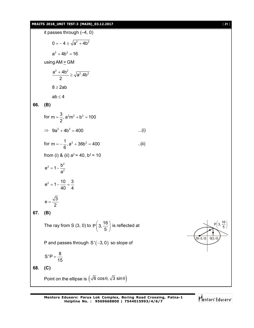#### **MEAITS 2018\_UNIT TEST-3 (MAIN)\_03.12.2017** [ **21** ]





 $S(3, 0)$ 

 $P(3, \frac{16}{5})$ 5  $\left($   $\frac{16}{2}$  $\lfloor 3, -\frac{1}{5} \rfloor$  $(5)$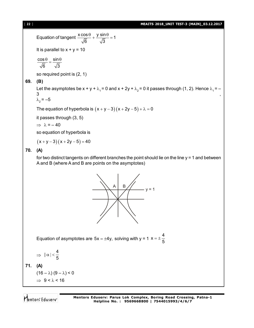Equation of tangent  $\frac{x \cos \theta}{\sqrt{2}} + \frac{y \sin \theta}{\sqrt{2}} = 1$ 6  $\sqrt{3}$  $\frac{\theta}{\theta} + \frac{y \sin \theta}{\sqrt{2}} =$ It is parallel to  $x + y = 10$  $\cos \theta$  sin 6  $\sqrt{3}$  $\frac{\theta}{\theta} = \frac{\sin \theta}{\sqrt{\pi}}$ 

so required point is (2, 1)

## **69. (B)**

Let the asymptotes be  $x + y + \lambda_1 = 0$  and  $x + 2y + \lambda_2 = 0$  it passes through (1, 2). Hence  $\lambda_1 = -3$  $3 \qquad \qquad ,$ 

$$
\lambda_2 = -5
$$

The equation of hyperbola is  $(x + y - 3)(x + 2y - 5) + \lambda = 0$ 

it passes through (3, 5)

 $\Rightarrow \lambda = -40$ 

so equation of hyperbola is

 $(x + y - 3)(x + 2y - 5) = 40$ 

## **70. (A)**

for two distinct tangents on different branches the point should lie on the line  $y = 1$  and between A and B (where A and B are points on the asymptotes)



Equation of asymptotes are  $5x = \pm 4y$ , solving with y = 1  $x = \pm \frac{4}{5}$ 5  $=$  $\pm$  -

$$
\Rightarrow \ |\alpha| < \frac{4}{5}
$$

**71. (A)**

 $(16 - \lambda) (9 - \lambda) < 0$  $\Rightarrow$  9 <  $\lambda$  < 16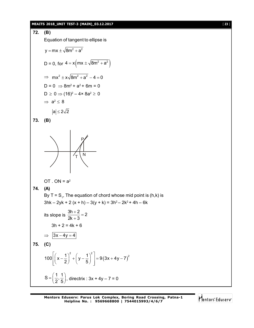#### **MEAITS 2018\_UNIT TEST-3 (MAIN)\_03.12.2017** [ **23** ]

72. **(B)**  
\nEquation of tangent to ellipse is  
\n
$$
y = mx \pm \sqrt{8m^2 + a^2}
$$
  
\nD = 0, for  $4 = x \left( mx \pm \sqrt{8m^2 + a^2} \right)$   
\n⇒  $mx^2 \pm x \sqrt{8m^2 + a^2} - 4 = 0$   
\nD = 0 ⇒  $8m^2 + a^2 + 6m = 0$   
\nD ≥ 0 ⇒ (16)<sup>2</sup> − 4 ×  $8a^2 ≥ 0$   
\n⇒  $a^2 ≤ 8$   
\n $|a| ≤ 2\sqrt{2}$   
\n73. **(B)**  
\n3. **(B)**  
\n7. ON =  $a^2$   
\n74. **(A)**  
\nBy T = S<sub>1</sub>, The equation of chord whose mid point is (h,k) is  
\n3hk – 2yk + 2 (x + h) – 3(y + k) = 3h<sup>2</sup> – 2k<sup>2</sup> + 4h – 6k  
\nits slope is  $\frac{3h+2}{2k+3} = 2$   
\n3h + 2 = 4k + 6  
\n⇒  $\frac{3x-4y=4}{3x-4y=4}$   
\n75. **(C)**  
\n100 $\left[ \left( x - \frac{1}{2} \right)^2 + \left( y - \frac{1}{5} \right)^2 \right] = 9(3x + 4y - 7)^2$   
\nS =  $\left( \frac{1}{2}, \frac{1}{5} \right)$ , directrix : 3x + 4y – 7 = 0

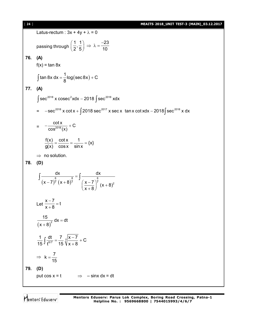#### [ **24** ] **MEAITS 2018\_UNIT TEST-3 (MAIN)\_03.12.2017**

Latus-rectum :  $3x + 4y + \lambda = 0$ passing through  $\left(\frac{1}{2},\frac{1}{2}\right)\Rightarrow \lambda=\frac{-23}{12}$  $\left(\frac{1}{2},\frac{1}{5}\right)\Rightarrow \lambda=\frac{-23}{10}$ **76. (A)**  $f(x) = \tan 8x$ (sec8x) tan 8x dx =  $\frac{1}{6}$ log (sec 8x) + C  $\int \tan 8x \ dx = \frac{1}{8} \log (\sec 8x) + 0$ **77. (A)**  $\int \sec^{2018} x \csc^2 x dx - 2018 \int \sec^{2018} x dx$  $=$   $-$  sec<sup>2018</sup> x cot x +  $\int$  2018 sec<sup>2017</sup> x sec x tan x cot xdx  $-$  2018 $\int$  sec<sup>2018</sup> x dx  $= -\frac{\cot x}{\cos^{2018} (x)} + C$  $cos<sup>2018</sup>(x)$  $-\frac{1001N}{2018.1}+0$  $\frac{f(x)}{x} = \frac{\cot x}{x} = \frac{1}{x} = \{x\}$ g(x) cosx sinx  $=\frac{3000}{100}=\frac{1}{100}=$  $\Rightarrow$  no solution. **78. (D)**  $(x-7)^7 (x+8)$ 6 8 6  $7 (X+8)^7$   $(X-7)^7$ <sub>(y | 2)</sub><sup>2</sup> dx dx  $(x-7)^{\frac{1}{7}} (x+8)^{\frac{1}{7}} \left(\frac{x-7}{2}\right)^{\frac{1}{7}} (x+8)^{\frac{1}{7}}$  $x + 8$  $=$  $(-7)^{\frac{1}{7}} (x+8)^{\frac{1}{7}} \left(\frac{x-7}{x+8}\right)^{\frac{1}{7}} (x+$  $\frac{a}{\sqrt{a^2 + a^2}} = -$ Let  $\frac{x-7}{x+2} = t$  $x + 8$  $\frac{-7}{2}$  =  $\ddot{}$  $\frac{15}{(x+8)^2} dx = dt$  $(x + 8)$  $=$  $^{+}$  $\frac{1}{15} \int \frac{dt}{t^{6/7}} = \frac{7}{15} \sqrt{\frac{x-7}{x+9}} + C$ 15  $\frac{1}{2}$  t<sup>677</sup> 15  $\sqrt{x} + 8$  $=\frac{7}{15}\sqrt{\frac{x-7}{2}}+0$  $\int \frac{dx}{t^{6/7}} = \frac{7}{15} \sqrt[7]{\frac{x}{x+7}}$  $\Rightarrow k = \frac{7}{15}$ 15  $=$ **79. (D)** put cos  $x = t$   $\implies$   $-sinx dx = dt$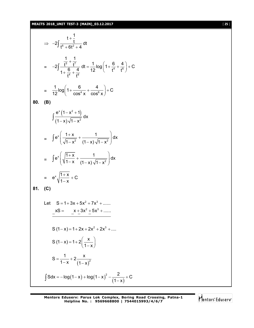## **MEAITS 2018\_UNIT TEST-3 (MAIN)\_03.12.2017** [ **25** ]

$$
\Rightarrow -2\int \frac{t + \frac{1}{t}}{t^{6} + 6t^{2} + 4} dt
$$
\n
$$
= -2\int \frac{\frac{1}{t^{6}} + \frac{1}{t^{7}}}{1 + \frac{6}{t^{4}} + \frac{4}{t^{6}}} dt = \frac{1}{12} \log\left(1 + \frac{6}{t^{4}} + \frac{4}{t^{6}}\right) + C
$$
\n
$$
= \frac{1}{12} \log\left(1 + \frac{6}{\cos^{4} x} + \frac{4}{\cos^{6} x}\right) + C
$$
\n80. (B)\n
$$
\int \frac{e^{x} (1 - x^{2} + 1)}{(1 - x)\sqrt{1 - x^{2}}} dx
$$
\n
$$
= \int e^{x} \left(\frac{1 + x}{\sqrt{1 - x^{2}}} + \frac{1}{(1 - x)\sqrt{1 - x^{2}}}\right) dx
$$
\n
$$
= \int e^{x} \left(\sqrt{\frac{1 + x}{1 - x}} + \frac{1}{(1 - x)\sqrt{1 - x^{2}}}\right) dx
$$
\n
$$
= e^{x} \sqrt{\frac{1 + x}{1 - x}} + C
$$
\n81. (C)\nLet  $S = 1 + 3x + 5x^{2} + 7x^{3} + \dots$ \n
$$
xS = -\frac{x + 3x^{2} + 5x^{3} + \dots}{-x^{2} - x^{2} - x^{3} + \dots}
$$
\n
$$
S(1 - x) = 1 + 2x + 2x^{2} + 2x^{3} + \dots
$$
\n
$$
S(1 - x) = 1 + 2\left(\frac{x}{1 - x}\right)
$$
\n
$$
S = \frac{1}{1 - x} + 2\frac{x}{(1 - x)^{2}}
$$
\n
$$
\int S dx = -\log(1 - x) + \log(1 - x)^{2} - \frac{2}{(1 - x)} + C
$$

Mentors<sup>e</sup> Eduserv<sup>-</sup>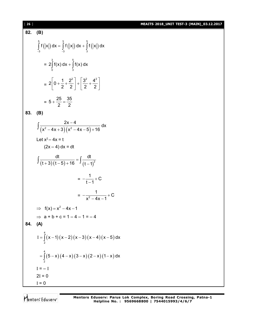#### [ **26** ] **MEAITS 2018\_UNIT TEST-3 (MAIN)\_03.12.2017**

#### **82. (B)**  $(|x|) dx = |f(|x|) dx + |f(|x|)$ 5 3 5  $3 -3$  3 f ( $\vert$ x $\vert$ ) dx  $=$   $\vert$  f ( $\vert$ x $\vert$ ) dx  $+$   $\vert$  f ( $\vert$ x $\vert$ ) dx  $\int_{-3}^{3} f(|x|) dx = \int_{-3}^{3} f(|x|) dx + \int_{3}^{3} f(|x|) dx$ = 3 5  $2\int_{0}^{1} f(x) dx + \int_{3}^{1} f(x) dx$  $= 2 \left| 0 + \frac{1}{2} + \frac{2^2}{2} \right| + \left| \frac{3^2}{2} + \frac{4^2}{2} \right|$ 2 2 2 2  $\left|0+\frac{1}{2}+\frac{2^2}{2}\right|+\left|\frac{3^2}{2}+\frac{4^2}{2}\right|$  $\begin{bmatrix} 2 & 2 \end{bmatrix} \begin{bmatrix} 2 & 2 \end{bmatrix}$  $= 5 + \frac{25}{2} = \frac{35}{2}$ 2 2  $+\frac{20}{2}$  = -**83. (B)**  $\frac{2x-4}{(x^2-4x+3)(x^2-4x-5)+16}$ dx  $(x^2 - 4x + 3)(x^2 - 4x - 5) + 16$  $\int \frac{2x-4}{(x^2-4x+3)(x^2-4x-5)+1}$ Let  $x^2 - 4x = t$  $(2x - 4) dx = dt$  $(t+3)(t-5)+16$   $J(t-1)^2$ dt dt  $(t+3)(t-5)+16$   $\frac{3}{t} (t-1)$  $=$  $\int \frac{dt}{(t+3)(t-5)+16} = \int \frac{dt}{(t-5)}$ =  $\frac{1}{2}$  + C  $t - 1$  $-\frac{1}{1}$  + 0  $\overline{\phantom{0}}$  $= -\frac{1}{x^2}$  $\frac{1}{1}$  + C  $x^2 - 4x - 1$  $-\frac{1}{2}$  + 0  $-4x-1$  $\implies$  f(x) = x<sup>2</sup> – 4x – 1  $\Rightarrow$  a + b + c = 1 – 4 – 1 = – 4 **84. (A)**  $(x-1)(x-2)(x-3)(x-4)(x-5)$ 4 2  $I = \int (x-1)(x-2)(x-3)(x-4)(x-5) dx$  $=$   $(5-x)(4-x)(3-x)(2-x)(1-x)$ 4  $=\int_{2}(5-x)(4-x)(3-x)(2-x)(1-x)dx$  $I = -I$  $2I = 0$  $I = 0$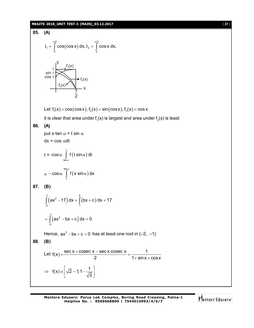#### **MEAITS 2018\_UNIT TEST-3 (MAIN)\_03.12.2017** [ **27** ]

85. (A)  
\n
$$
I_{1} = \int_{0}^{\frac{\pi}{2}} \cos(\cos x) dx, I_{3} = \int_{0}^{\frac{\pi}{2}} \cos x dx,
$$
\n
$$
\sin \frac{1}{1} \int_{\cos 0}^{1} \frac{f_{1}(x)}{\cos 1} dx
$$
\n
$$
= \int_{\frac{\pi}{2}}^{1} \frac{f_{1}(x)}{x} dx
$$
\nLet  $f_{1}(x) = \cos(\cos x), f_{2}(x) = \sin(\cos x), f_{3}(x) = \cos x$   
\nIt is clear that area under  $f_{1}(x)$  is largest and area under  $f_{2}(x)$  is least  
\n86. (A)  
\nput  $x \tan \alpha = t \sin \alpha$   
\n $dx = \cos \alpha dt$   
\n $I = \cos \alpha \int_{1}^{1} f(t \sin \alpha) dt$   
\n $= -\cos \alpha \int_{1}^{1} f(t \sin \alpha) dx$   
\n87. (B)  
\n
$$
\int_{-\frac{\pi}{2}}^{1} (ax^{2} - 17) dx + \int_{1}^{2} (bx + c) dx + 17
$$
  
\n $= \int_{-\frac{\pi}{2}}^{1} (ax^{2} - bx + c) dx = 0$   
\nHence,  $ax^{2} - bx + c = 0$  has at least one root in (-2, -1)  
\n88. (B)  
\nLet  $f(x) = \frac{\sec x + \csc x - \sec x \csc x}{2} = \frac{1}{1 + \sin x + \cos x}$   
\n $\Rightarrow f(x) = \left[ \sqrt{2} - 1, 1 - \frac{1}{\sqrt{3}} \right]$ 

**Mentors Eduserv: Parus Lok Complex, Boring Road Crossing, Patna-1 Helpline No. : 9569668800 | 7544015993/4/6/7**

Mentors<sup>e</sup> Eduserv<sup>-</sup>